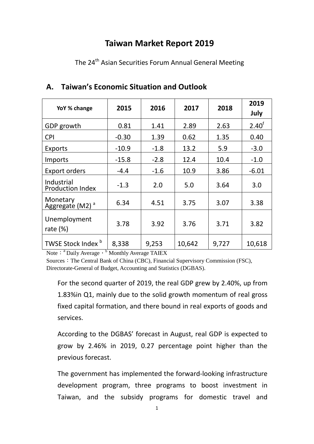# **Taiwan Market Report 2019**

The 24<sup>th</sup> Asian Securities Forum Annual General Meeting

| YoY % change                            | 2015    | 2016   | 2017   | 2018  | 2019<br>July      |
|-----------------------------------------|---------|--------|--------|-------|-------------------|
| GDP growth                              | 0.81    | 1.41   | 2.89   | 2.63  | $2.40^{\text{f}}$ |
| <b>CPI</b>                              | $-0.30$ | 1.39   | 0.62   | 1.35  | 0.40              |
| Exports                                 | $-10.9$ | $-1.8$ | 13.2   | 5.9   | $-3.0$            |
| Imports                                 | $-15.8$ | $-2.8$ | 12.4   | 10.4  | $-1.0$            |
| <b>Export orders</b>                    | $-4.4$  | $-1.6$ | 10.9   | 3.86  | $-6.01$           |
| Industrial<br><b>Production Index</b>   | $-1.3$  | 2.0    | 5.0    | 3.64  | 3.0               |
| Monetary<br>Aggregate (M2) <sup>a</sup> | 6.34    | 4.51   | 3.75   | 3.07  | 3.38              |
| Unemployment<br>rate $(\%)$             | 3.78    | 3.92   | 3.76   | 3.71  | 3.82              |
| TWSE Stock Index <sup>b</sup>           | 8,338   | 9,253  | 10,642 | 9,727 | 10,618            |

## **A. Taiwan's Economic Situation and Outlook**

Note: <sup>a</sup> Daily Average, b Monthly Average TAIEX

Sources: The Central Bank of China (CBC), Financial Supervisory Commission (FSC), Directorate-General of Budget, Accounting and Statistics (DGBAS).

For the second quarter of 2019, the real GDP grew by 2.40%, up from 1.83%in Q1, mainly due to the solid growth momentum of real gross fixed capital formation, and there bound in real exports of goods and services.

According to the DGBAS' forecast in August, real GDP is expected to grow by 2.46% in 2019, 0.27 percentage point higher than the previous forecast.

The government has implemented the forward-looking infrastructure development program, three programs to boost investment in Taiwan, and the subsidy programs for domestic travel and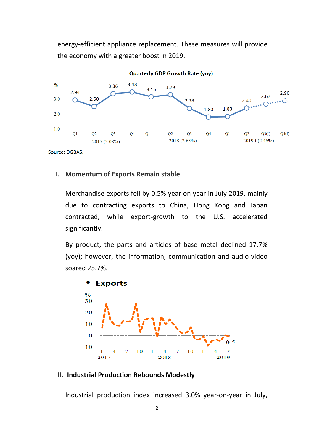energy-efficient appliance replacement. These measures will provide the economy with a greater boost in 2019.



**I. Momentum of Exports Remain stable**

Merchandise exports fell by 0.5% year on year in July 2019, mainly due to contracting exports to China, Hong Kong and Japan contracted, while export-growth to the U.S. accelerated significantly.

By product, the parts and articles of base metal declined 17.7% (yoy); however, the information, communication and audio-video soared 25.7%.



#### **II. Industrial Production Rebounds Modestly**

Industrial production index increased 3.0% year-on-year in July,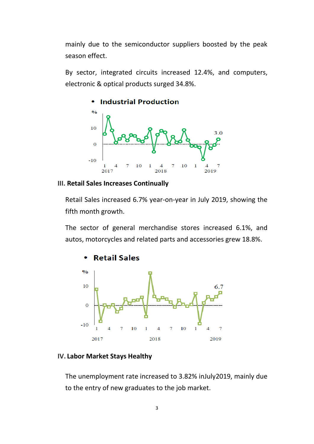mainly due to the semiconductor suppliers boosted by the peak season effect.

By sector, integrated circuits increased 12.4%, and computers, electronic & optical products surged 34.8%.



#### **III. Retail Sales Increases Continually**

Retail Sales increased 6.7% year-on-year in July 2019, showing the fifth month growth.

The sector of general merchandise stores increased 6.1%, and autos, motorcycles and related parts and accessories grew 18.8%.



#### **IV. Labor Market Stays Healthy**

The unemployment rate increased to 3.82% inJuly2019, mainly due to the entry of new graduates to the job market.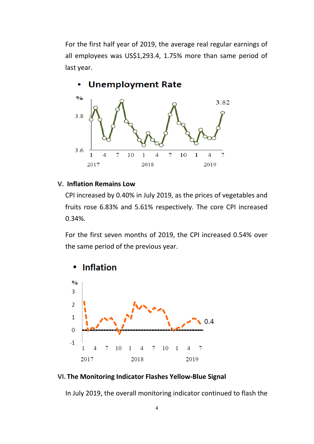For the first half year of 2019, the average real regular earnings of all employees was US\$1,293.4, 1.75% more than same period of last year.



#### **V. Inflation Remains Low**

CPI increased by 0.40% in July 2019, as the prices of vegetables and fruits rose 6.83% and 5.61% respectively. The core CPI increased 0.34%.

For the first seven months of 2019, the CPI increased 0.54% over the same period of the previous year.



#### **VI. The Monitoring Indicator Flashes Yellow-Blue Signal**

In July 2019, the overall monitoring indicator continued to flash the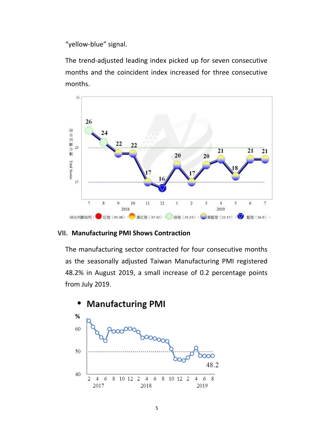"yellow-blue" signal.

The trend-adjusted leading index picked up for seven consecutive months and the coincident index increased for three consecutive months.



### **VII. Manufacturing PMI Shows Contraction**

The manufacturing sector contracted for four consecutive months as the seasonally adjusted Taiwan Manufacturing PMI registered 48.2% in August 2019, a small increase of 0.2 percentage points from July 2019.

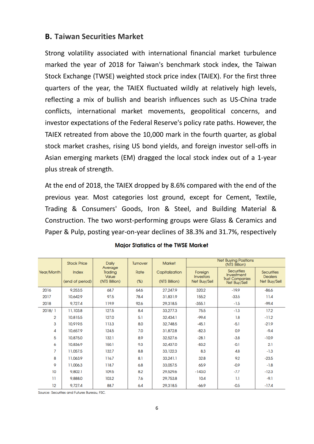## **B. Taiwan Securities Market**

Strong volatility associated with international financial market turbulence marked the year of 2018 for Taiwan's benchmark stock index, the Taiwan Stock Exchange (TWSE) weighted stock price index (TAIEX). For the first three quarters of the year, the TAIEX fluctuated wildly at relatively high levels, reflecting a mix of bullish and bearish influences such as US-China trade conflicts, international market movements, geopolitical concerns, and investor expectations of the Federal Reserve's policy rate paths. However, the TAIEX retreated from above the 10,000 mark in the fourth quarter, as global stock market crashes, rising US bond yields, and foreign investor sell-offs in Asian emerging markets (EM) dragged the local stock index out of a 1-year plus streak of strength.

At the end of 2018, the TAIEX dropped by 8.6% compared with the end of the previous year. Most categories lost ground, except for Cement, Textile, Trading & Consumers' Goods, Iron & Steel, and Building Material & Construction. The two worst-performing groups were Glass & Ceramics and Paper & Pulp, posting year-on-year declines of 38.3% and 31.7%, respectively

|                | <b>Stock Price</b>              | Daily<br>Average<br>Trading<br>Value<br>(NT\$ Billion) | <b>Turnover</b> | <b>Net Buying Positions</b><br><b>Market</b><br>(NT\$ Billion) |                                             |                                                                           |                                                     |
|----------------|---------------------------------|--------------------------------------------------------|-----------------|----------------------------------------------------------------|---------------------------------------------|---------------------------------------------------------------------------|-----------------------------------------------------|
| Year/Month     | <b>Index</b><br>(end of period) |                                                        | Rate<br>(%)     | Capitalization<br>(NT\$ Billion)                               | Foreign<br><b>Investors</b><br>Net Buy/Sell | <b>Securities</b><br>Investment<br><b>Trust Companies</b><br>Net Buy/Sell | <b>Securities</b><br><b>Dealers</b><br>Net Buy/Sell |
| 2016           | 9,253.5                         | 68.7                                                   | 64.6            | 27,247.9                                                       | 320.2                                       | $-19.9$                                                                   | $-86.6$                                             |
| 2017           | 10,642.9                        | 97.5                                                   | 78.4            | 31,831.9                                                       | 155.2                                       | $-33.5$                                                                   | 11.4                                                |
| 2018           | 9,727.4                         | 119.9                                                  | 92.6            | 29,318.5                                                       | $-355.1$                                    | $-1.5$                                                                    | $-99.4$                                             |
| 2018/1         | 11,103.8                        | 127.5                                                  | 8.4             | 33,277.3                                                       | 75.5                                        | $-1.3$                                                                    | 17.2                                                |
| $\overline{2}$ | 10,815.5                        | 127.0                                                  | 5.1             | 32,434.1                                                       | $-99.4$                                     | 1.8                                                                       | $-11.2$                                             |
| 3              | 10,919.5                        | 113.3                                                  | 8.0             | 32,748.5                                                       | $-45.1$                                     | $-5.1$                                                                    | $-21.9$                                             |
| 4              | 10,657.9                        | 124.5                                                  | 7.0             | 31,872.8                                                       | $-82.3$                                     | 0.9                                                                       | $-9.4$                                              |
| 5              | 10,875.0                        | 132.1                                                  | 8.9             | 32,527.6                                                       | $-28.1$                                     | $-3.8$                                                                    | $-10.9$                                             |
| 6              | 10,836.9                        | 150.1                                                  | 9.3             | 32,437.0                                                       | $-83.2$                                     | $-0.1$                                                                    | 2.1                                                 |
| 7              | 11,057.5                        | 132.7                                                  | 8.8             | 33, 122.3                                                      | 8.3                                         | 4.8                                                                       | $-1.3$                                              |
| 8              | 11,063.9                        | 116.7                                                  | 8.1             | 33,241.1                                                       | 32.8                                        | 9.2                                                                       | $-23.5$                                             |
| 9              | 11,006.3                        | 118.7                                                  | 6.8             | 33,057.5                                                       | 65.9                                        | $-0.9$                                                                    | $-1.8$                                              |
| 10             | 9,802.1                         | 109.5                                                  | 8.2             | 29,529.6                                                       | $-143.0$                                    | $-7.7$                                                                    | $-12.3$                                             |
| 11             | 9,888.0                         | 103.2                                                  | 7.6             | 29,753.8                                                       | 10.4                                        | 1.1                                                                       | $-9.1$                                              |
| 12             | 9,727.4                         | 88.7                                                   | 6.4             | 29,318.5                                                       | $-66.9$                                     | $-0.5$                                                                    | $-17.4$                                             |

#### **Major Statistics of the TWSE Market**

Source: Securities and Futures Bureau, FSC.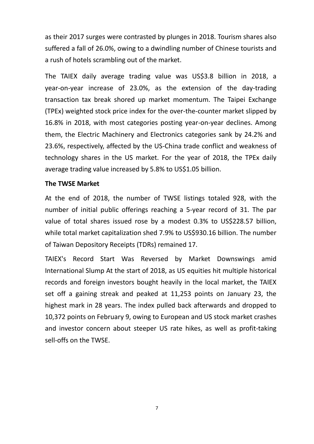as their 2017 surges were contrasted by plunges in 2018. Tourism shares also suffered a fall of 26.0%, owing to a dwindling number of Chinese tourists and a rush of hotels scrambling out of the market.

The TAIEX daily average trading value was US\$3.8 billion in 2018, a year-on-year increase of 23.0%, as the extension of the day-trading transaction tax break shored up market momentum. The Taipei Exchange (TPEx) weighted stock price index for the over-the-counter market slipped by 16.8% in 2018, with most categories posting year-on-year declines. Among them, the Electric Machinery and Electronics categories sank by 24.2% and 23.6%, respectively, affected by the US-China trade conflict and weakness of technology shares in the US market. For the year of 2018, the TPEx daily average trading value increased by 5.8% to US\$1.05 billion.

### **The TWSE Market**

At the end of 2018, the number of TWSE listings totaled 928, with the number of initial public offerings reaching a 5-year record of 31. The par value of total shares issued rose by a modest 0.3% to US\$228.57 billion, while total market capitalization shed 7.9% to US\$930.16 billion. The number of Taiwan Depository Receipts (TDRs) remained 17.

TAIEX's Record Start Was Reversed by Market Downswings amid International Slump At the start of 2018, as US equities hit multiple historical records and foreign investors bought heavily in the local market, the TAIEX set off a gaining streak and peaked at 11,253 points on January 23, the highest mark in 28 years. The index pulled back afterwards and dropped to 10,372 points on February 9, owing to European and US stock market crashes and investor concern about steeper US rate hikes, as well as profit-taking sell-offs on the TWSE.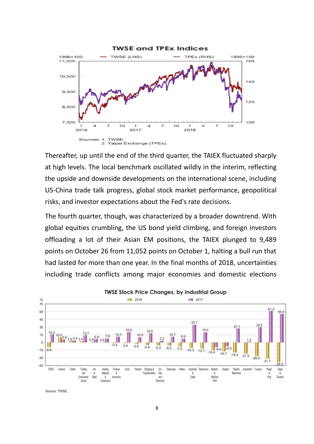

Thereafter, up until the end of the third quarter, the TAIEX fluctuated sharply at high levels. The local benchmark oscillated wildly in the interim, reflecting the upside and downside developments on the international scene, including US-China trade talk progress, global stock market performance, geopolitical risks, and investor expectations about the Fed's rate decisions.

The fourth quarter, though, was characterized by a broader downtrend. With global equities crumbling, the US bond yield climbing, and foreign investors offloading a lot of their Asian EM positions, the TAIEX plunged to 9,489 points on October 26 from 11,052 points on October 1, halting a bull run that had lasted for more than one year. In the final months of 2018, uncertainties including trade conflicts among major economies and domestic elections



Source: TWSE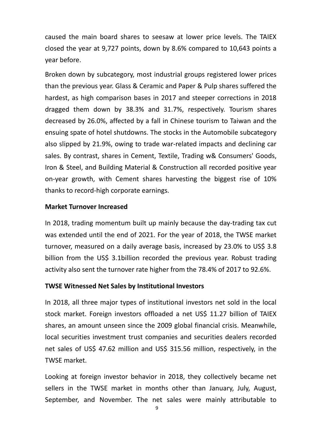caused the main board shares to seesaw at lower price levels. The TAIEX closed the year at 9,727 points, down by 8.6% compared to 10,643 points a year before.

Broken down by subcategory, most industrial groups registered lower prices than the previous year. Glass & Ceramic and Paper & Pulp shares suffered the hardest, as high comparison bases in 2017 and steeper corrections in 2018 dragged them down by 38.3% and 31.7%, respectively. Tourism shares decreased by 26.0%, affected by a fall in Chinese tourism to Taiwan and the ensuing spate of hotel shutdowns. The stocks in the Automobile subcategory also slipped by 21.9%, owing to trade war-related impacts and declining car sales. By contrast, shares in Cement, Textile, Trading w& Consumers' Goods, Iron & Steel, and Building Material & Construction all recorded positive year on-year growth, with Cement shares harvesting the biggest rise of 10% thanks to record-high corporate earnings.

### **Market Turnover Increased**

In 2018, trading momentum built up mainly because the day-trading tax cut was extended until the end of 2021. For the year of 2018, the TWSE market turnover, measured on a daily average basis, increased by 23.0% to US\$ 3.8 billion from the US\$ 3.1billion recorded the previous year. Robust trading activity also sent the turnover rate higher from the 78.4% of 2017 to 92.6%.

## **TWSE Witnessed Net Sales by Institutional Investors**

In 2018, all three major types of institutional investors net sold in the local stock market. Foreign investors offloaded a net US\$ 11.27 billion of TAIEX shares, an amount unseen since the 2009 global financial crisis. Meanwhile, local securities investment trust companies and securities dealers recorded net sales of US\$ 47.62 million and US\$ 315.56 million, respectively, in the TWSE market.

Looking at foreign investor behavior in 2018, they collectively became net sellers in the TWSE market in months other than January, July, August, September, and November. The net sales were mainly attributable to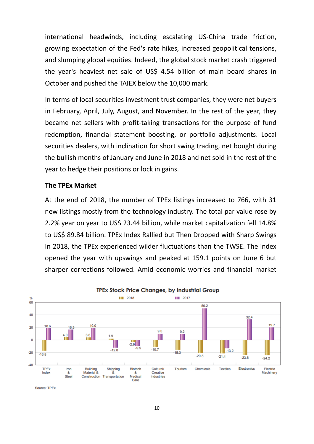international headwinds, including escalating US-China trade friction, growing expectation of the Fed's rate hikes, increased geopolitical tensions, and slumping global equities. Indeed, the global stock market crash triggered the year's heaviest net sale of US\$ 4.54 billion of main board shares in October and pushed the TAIEX below the 10,000 mark.

In terms of local securities investment trust companies, they were net buyers in February, April, July, August, and November. In the rest of the year, they became net sellers with profit-taking transactions for the purpose of fund redemption, financial statement boosting, or portfolio adjustments. Local securities dealers, with inclination for short swing trading, net bought during the bullish months of January and June in 2018 and net sold in the rest of the year to hedge their positions or lock in gains.

#### **The TPEx Market**

At the end of 2018, the number of TPEx listings increased to 766, with 31 new listings mostly from the technology industry. The total par value rose by 2.2% year on year to US\$ 23.44 billion, while market capitalization fell 14.8% to US\$ 89.84 billion. TPEx Index Rallied but Then Dropped with Sharp Swings In 2018, the TPEx experienced wilder fluctuations than the TWSE. The index opened the year with upswings and peaked at 159.1 points on June 6 but sharper corrections followed. Amid economic worries and financial market



Source: TPEx.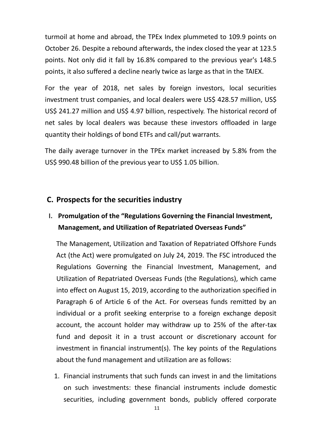turmoil at home and abroad, the TPEx Index plummeted to 109.9 points on October 26. Despite a rebound afterwards, the index closed the year at 123.5 points. Not only did it fall by 16.8% compared to the previous year's 148.5 points, it also suffered a decline nearly twice as large as that in the TAIEX.

For the year of 2018, net sales by foreign investors, local securities investment trust companies, and local dealers were US\$ 428.57 million, US\$ US\$ 241.27 million and US\$ 4.97 billion, respectively. The historical record of net sales by local dealers was because these investors offloaded in large quantity their holdings of bond ETFs and call/put warrants.

The daily average turnover in the TPEx market increased by 5.8% from the US\$ 990.48 billion of the previous year to US\$ 1.05 billion.

## **C. Prospects for the securities industry**

## **I. Promulgation of the "Regulations Governing the Financial Investment, Management, and Utilization of Repatriated Overseas Funds"**

The Management, Utilization and Taxation of Repatriated Offshore Funds Act (the Act) were promulgated on July 24, 2019. The FSC introduced the Regulations Governing the Financial Investment, Management, and Utilization of Repatriated Overseas Funds (the Regulations), which came into effect on August 15, 2019, according to the authorization specified in Paragraph 6 of Article 6 of the Act. For overseas funds remitted by an individual or a profit seeking enterprise to a foreign exchange deposit account, the account holder may withdraw up to 25% of the after-tax fund and deposit it in a trust account or discretionary account for investment in financial instrument(s). The key points of the Regulations about the fund management and utilization are as follows:

1. Financial instruments that such funds can invest in and the limitations on such investments: these financial instruments include domestic securities, including government bonds, publicly offered corporate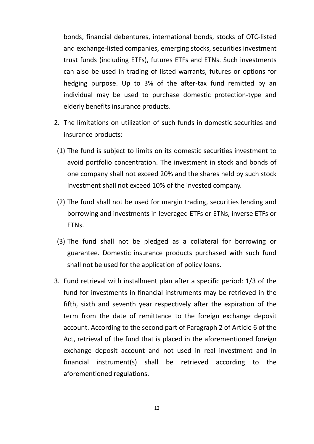bonds, financial debentures, international bonds, stocks of OTC-listed and exchange-listed companies, emerging stocks, securities investment trust funds (including ETFs), futures ETFs and ETNs. Such investments can also be used in trading of listed warrants, futures or options for hedging purpose. Up to 3% of the after-tax fund remitted by an individual may be used to purchase domestic protection-type and elderly benefits insurance products.

- 2. The limitations on utilization of such funds in domestic securities and insurance products:
- (1) The fund is subject to limits on its domestic securities investment to avoid portfolio concentration. The investment in stock and bonds of one company shall not exceed 20% and the shares held by such stock investment shall not exceed 10% of the invested company.
- (2) The fund shall not be used for margin trading, securities lending and borrowing and investments in leveraged ETFs or ETNs, inverse ETFs or FTN<sub>S</sub>.
- (3) The fund shall not be pledged as a collateral for borrowing or guarantee. Domestic insurance products purchased with such fund shall not be used for the application of policy loans.
- 3. Fund retrieval with installment plan after a specific period: 1/3 of the fund for investments in financial instruments may be retrieved in the fifth, sixth and seventh year respectively after the expiration of the term from the date of remittance to the foreign exchange deposit account. According to the second part of Paragraph 2 of Article 6 of the Act, retrieval of the fund that is placed in the aforementioned foreign exchange deposit account and not used in real investment and in financial instrument(s) shall be retrieved according to the aforementioned regulations.